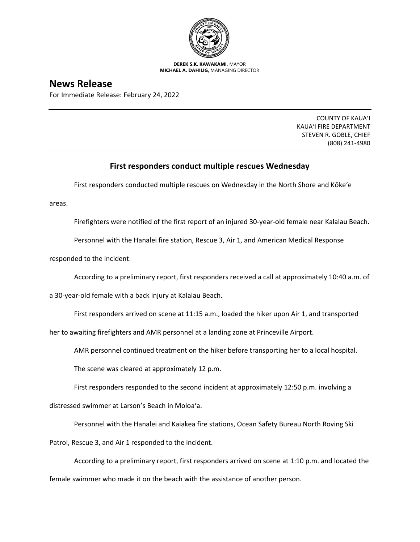

**DEREK S.K. KAWAKAMI,** MAYOR **MICHAEL A. DAHILIG,** MANAGING DIRECTOR

## **News Release**

For Immediate Release: February 24, 2022

COUNTY OF KAUA'I KAUA'I FIRE DEPARTMENT STEVEN R. GOBLE, CHIEF (808) 241-4980

## **First responders conduct multiple rescues Wednesday**

First responders conducted multiple rescues on Wednesday in the North Shore and Kōke'e

areas.

Firefighters were notified of the first report of an injured 30-year-old female near Kalalau Beach.

Personnel with the Hanalei fire station, Rescue 3, Air 1, and American Medical Response

responded to the incident.

According to a preliminary report, first responders received a call at approximately 10:40 a.m. of

a 30-year-old female with a back injury at Kalalau Beach.

First responders arrived on scene at 11:15 a.m., loaded the hiker upon Air 1, and transported

her to awaiting firefighters and AMR personnel at a landing zone at Princeville Airport.

AMR personnel continued treatment on the hiker before transporting her to a local hospital.

The scene was cleared at approximately 12 p.m.

First responders responded to the second incident at approximately 12:50 p.m. involving a

distressed swimmer at Larson's Beach in Moloa'a.

Personnel with the Hanalei and Kaiakea fire stations, Ocean Safety Bureau North Roving Ski

Patrol, Rescue 3, and Air 1 responded to the incident.

According to a preliminary report, first responders arrived on scene at 1:10 p.m. and located the female swimmer who made it on the beach with the assistance of another person.